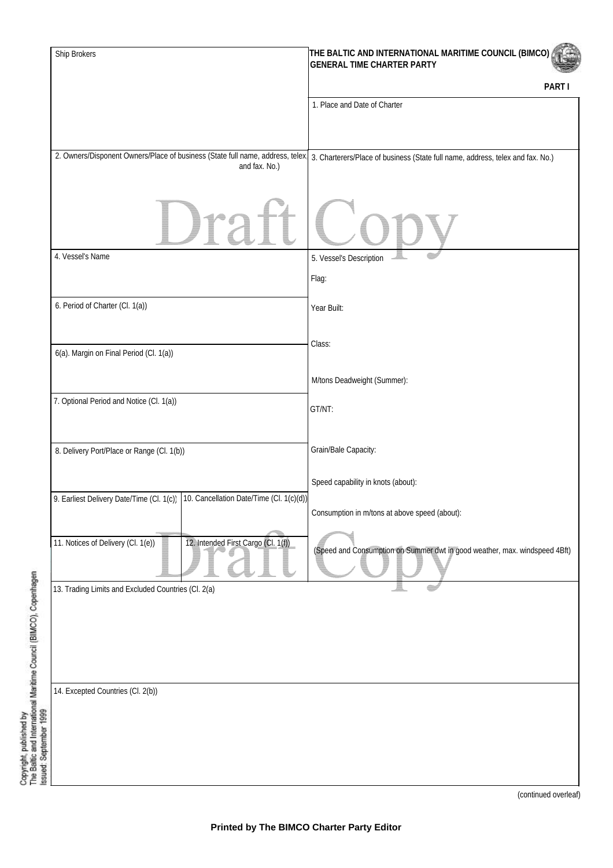| <b>PARTI</b><br>1. Place and Date of Charter<br>2. Owners/Disponent Owners/Place of business (State full name, address, telex 3. Charterers/Place of business (State full name, address, telex and fax. No.)<br>and fax. No.)<br>DraftIC<br>4. Vessel's Name<br>5. Vessel's Description<br>Flag:<br>6. Period of Charter (Cl. 1(a))<br>Year Built:<br>Class:<br>6(a). Margin on Final Period (Cl. 1(a))<br>M/tons Deadweight (Summer):<br>7. Optional Period and Notice (Cl. 1(a))<br>GT/NT:<br>Grain/Bale Capacity:<br>8. Delivery Port/Place or Range (Cl. 1(b))<br>Speed capability in knots (about):<br>9. Earliest Delivery Date/Time (Cl. 1(c)) 10. Cancellation Date/Time (Cl. 1(c)(d))<br>Consumption in m/tons at above speed (about): |
|-------------------------------------------------------------------------------------------------------------------------------------------------------------------------------------------------------------------------------------------------------------------------------------------------------------------------------------------------------------------------------------------------------------------------------------------------------------------------------------------------------------------------------------------------------------------------------------------------------------------------------------------------------------------------------------------------------------------------------------------------|
|                                                                                                                                                                                                                                                                                                                                                                                                                                                                                                                                                                                                                                                                                                                                                 |
|                                                                                                                                                                                                                                                                                                                                                                                                                                                                                                                                                                                                                                                                                                                                                 |
|                                                                                                                                                                                                                                                                                                                                                                                                                                                                                                                                                                                                                                                                                                                                                 |
|                                                                                                                                                                                                                                                                                                                                                                                                                                                                                                                                                                                                                                                                                                                                                 |
|                                                                                                                                                                                                                                                                                                                                                                                                                                                                                                                                                                                                                                                                                                                                                 |
|                                                                                                                                                                                                                                                                                                                                                                                                                                                                                                                                                                                                                                                                                                                                                 |
|                                                                                                                                                                                                                                                                                                                                                                                                                                                                                                                                                                                                                                                                                                                                                 |
|                                                                                                                                                                                                                                                                                                                                                                                                                                                                                                                                                                                                                                                                                                                                                 |
|                                                                                                                                                                                                                                                                                                                                                                                                                                                                                                                                                                                                                                                                                                                                                 |
|                                                                                                                                                                                                                                                                                                                                                                                                                                                                                                                                                                                                                                                                                                                                                 |
|                                                                                                                                                                                                                                                                                                                                                                                                                                                                                                                                                                                                                                                                                                                                                 |
|                                                                                                                                                                                                                                                                                                                                                                                                                                                                                                                                                                                                                                                                                                                                                 |
|                                                                                                                                                                                                                                                                                                                                                                                                                                                                                                                                                                                                                                                                                                                                                 |
| 12. Intended First Cargo (Cl. 1(f))<br>11. Notices of Delivery (Cl. 1(e))<br>(Speed and Consumption on Summer dwt in good weather, max. windspeed 4Bft)                                                                                                                                                                                                                                                                                                                                                                                                                                                                                                                                                                                         |
| 13. Trading Limits and Excluded Countries (Cl. 2(a)                                                                                                                                                                                                                                                                                                                                                                                                                                                                                                                                                                                                                                                                                             |
|                                                                                                                                                                                                                                                                                                                                                                                                                                                                                                                                                                                                                                                                                                                                                 |
|                                                                                                                                                                                                                                                                                                                                                                                                                                                                                                                                                                                                                                                                                                                                                 |
|                                                                                                                                                                                                                                                                                                                                                                                                                                                                                                                                                                                                                                                                                                                                                 |
| 14. Excepted Countries (Cl. 2(b))                                                                                                                                                                                                                                                                                                                                                                                                                                                                                                                                                                                                                                                                                                               |
|                                                                                                                                                                                                                                                                                                                                                                                                                                                                                                                                                                                                                                                                                                                                                 |
|                                                                                                                                                                                                                                                                                                                                                                                                                                                                                                                                                                                                                                                                                                                                                 |
| (continued overleaf)                                                                                                                                                                                                                                                                                                                                                                                                                                                                                                                                                                                                                                                                                                                            |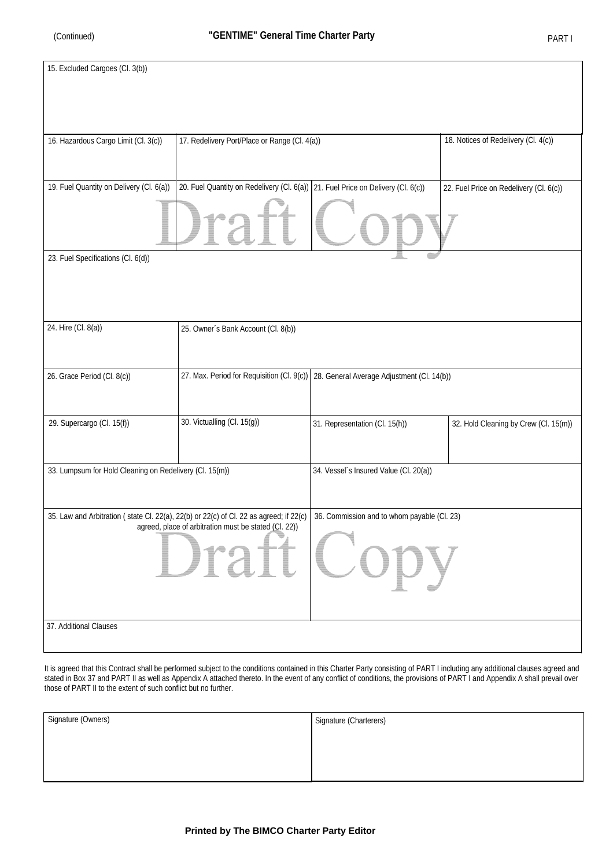15. Excluded Cargoes (Cl. 3(b))

| 16. Hazardous Cargo Limit (Cl. 3(c))                                                                                                                     | 17. Redelivery Port/Place or Range (Cl. 4(a))                                                      |                                                         | 18. Notices of Redelivery (Cl. 4(c))    |  |
|----------------------------------------------------------------------------------------------------------------------------------------------------------|----------------------------------------------------------------------------------------------------|---------------------------------------------------------|-----------------------------------------|--|
| 19. Fuel Quantity on Delivery (Cl. 6(a))                                                                                                                 | 20. Fuel Quantity on Redelivery (Cl. 6(a)) 21. Fuel Price on Delivery (Cl. 6(c))<br><u>Jraft  </u> |                                                         | 22. Fuel Price on Redelivery (Cl. 6(c)) |  |
| 23. Fuel Specifications (Cl. 6(d))                                                                                                                       |                                                                                                    |                                                         |                                         |  |
| 24. Hire (Cl. 8(a))                                                                                                                                      | 25. Owner's Bank Account (Cl. 8(b))                                                                |                                                         |                                         |  |
| 26. Grace Period (Cl. 8(c))                                                                                                                              | 27. Max. Period for Requisition (Cl. 9(c))                                                         | 28. General Average Adjustment (Cl. 14(b))              |                                         |  |
| 29. Supercargo (Cl. 15(f))                                                                                                                               | 30. Victualling (Cl. 15(g))                                                                        | 31. Representation (Cl. 15(h))                          | 32. Hold Cleaning by Crew (Cl. 15(m))   |  |
| 33. Lumpsum for Hold Cleaning on Redelivery (Cl. 15(m))                                                                                                  |                                                                                                    | 34. Vessel's Insured Value (Cl. 20(a))                  |                                         |  |
| 35. Law and Arbitration (state Cl. 22(a), 22(b) or 22(c) of Cl. 22 as agreed; if 22(c)<br>agreed, place of arbitration must be stated (Cl. 22))<br>Diale |                                                                                                    | 36. Commission and to whom payable (Cl. 23)<br>$\cup$ U |                                         |  |
| 37. Additional Clauses                                                                                                                                   |                                                                                                    |                                                         |                                         |  |

It is agreed that this Contract shall be performed subject to the conditions contained in this Charter Party consisting of PART I including any additional clauses agreed and stated in Box 37 and PART II as well as Appendix A attached thereto. In the event of any conflict of conditions, the provisions of PART I and Appendix A shall prevail over those of PART II to the extent of such conflict but no further.

| Signature (Owners) | Signature (Charterers) |
|--------------------|------------------------|
|                    |                        |
|                    |                        |
|                    |                        |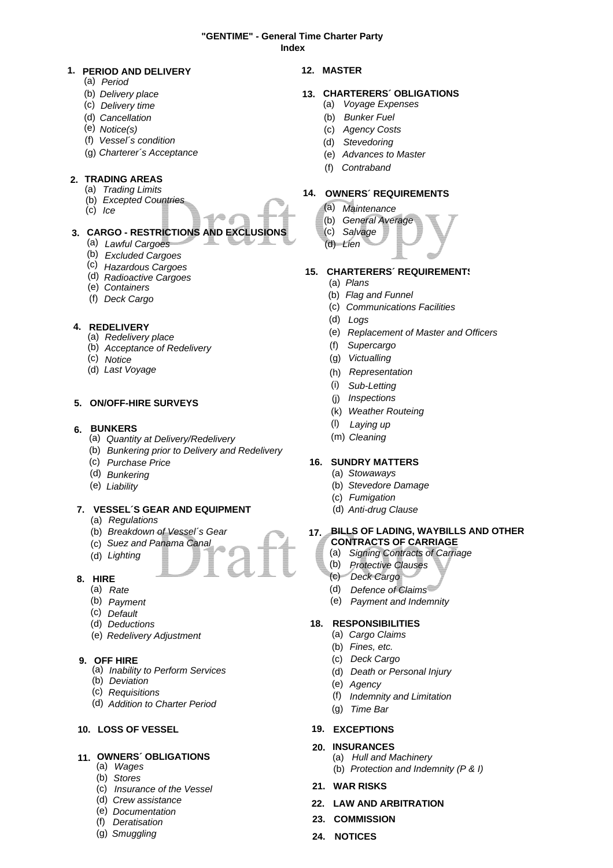# **1. PERIOD AND DELIVERY**

- (a) *Period*
- (b) *Delivery place*
- (c) *Delivery time*
- (d) *Cancellation*
- (e) *Notice(s)*
- (f) *Vessel´s condition*
- (g) *Charterer´s Acceptance*

# **2. TRADING AREAS**

- (a) *Trading Limits*
- (b) *Excepted Countries*
- (c) *Ice*

# **3. CARGO - RESTRICTIONS AND EXCLUSIONS**

- (a) *Lawful Cargoes*
- (b) *Excluded Cargoes*
- (c) *Hazardous Cargoes*
- (d) *Radioactive Cargoes*
- (e) *Containers*
- (f) *Deck Cargo*

# **4. REDELIVERY**

- (a) *Redelivery place*
- (b) *Acceptance of Redelivery*
- (c) *Notice*
- (d) *Last Voyage*

# **5. ON/OFF-HIRE SURVEYS**

# **6. BUNKERS**

- (a) *Quantity at Delivery/Redelivery*
- (b) *Bunkering prior to Delivery and Redelivery*
- (c) *Purchase Price*
- (d) *Bunkering*
- (e) *Liability*

# **7. VESSEL´S GEAR AND EQUIPMENT**

- (a) *Regulations* (b) *Breakdown of Vessel´s Gear*
- (c) *Suez and Panama Canal*
- (d) *Lighting*
- 
- **8. HIRE**
	- (a) *Rate*
	- (b) *Payment*
	- (c) *Default*
	- (d) *Deductions*
	- (e) *Redelivery Adjustment*

# **9. OFF HIRE**

- (a) *Inability to Perform Services*
- (b) *Deviation*
- (c) *Requisitions*
- (d) *Addition to Charter Period*
- **10. LOSS OF VESSEL**

# **11. OWNERS´ OBLIGATIONS**

- (a) *Wages*
- (b) *Stores*
- (c) *Insurance of the Vessel*
- (d) *Crew assistance*
- (e) *Documentation*
- (f) *Deratisation*
- (g) *Smuggling*

# **12. MASTER**

# **13. CHARTERERS´ OBLIGATIONS**

- (a) *Voyage Expenses*
- (b) *Bunker Fuel*
- (c) *Agency Costs*
- (d) *Stevedoring*
- (e) *Advances to Master*
- (f) *Contraband*

# **14. OWNERS´ REQUIREMENTS**

- (a) *Maintenance*
- (b) *General Average*
- (c) *Salvage*
- (d) *Lien*

# **15. CHARTERERS' REQUIREMENTS**

- (a) *Plans*
	- (b) *Flag and Funnel*
	- (c) *Communications Facilities*
	- (d) *Logs*
	- (e) *Replacement of Master and Officers*
	- (f) *Supercargo*
	- (g) *Victualling*
	- (h) *Representation*
	- (i) *Sub-Letting*
	- (j) *Inspections*
	- (k) *Weather Routeing*
	- (l) *Laying up*
	- (m) *Cleaning*

# **16. SUNDRY MATTERS**

- (a) *Stowaways*
- (b) *Stevedore Damage*
- (c) *Fumigation*
- (d) *Anti-drug Clause*

## **17. BILLS OF LADING, WAYBILLS AND OTHER CONTRACTS OF CARRIAGE**

- (a) *Signing Contracts of Carriage*
- (b) *Protective Clauses*
- (c) *Deck Cargo*
- (d) *Defence of Claims*
- (e) *Payment and Indemnity*

# **18. RESPONSIBILITIES**

- (a) *Cargo Claims*
- (b) *Fines, etc.*

(e) *Agency*

(g) *Time Bar* **19. EXCEPTIONS 20. INSURANCES**

**21. WAR RISKS**

**23. COMMISSION 24. NOTICES**

- (c) *Deck Cargo*
- (d) *Death or Personal Injury*

(f) *Indemnity and Limitation*

(a) *Hull and Machinery*

**22. LAW AND ARBITRATION**

(b) *Protection and Indemnity (P & I)*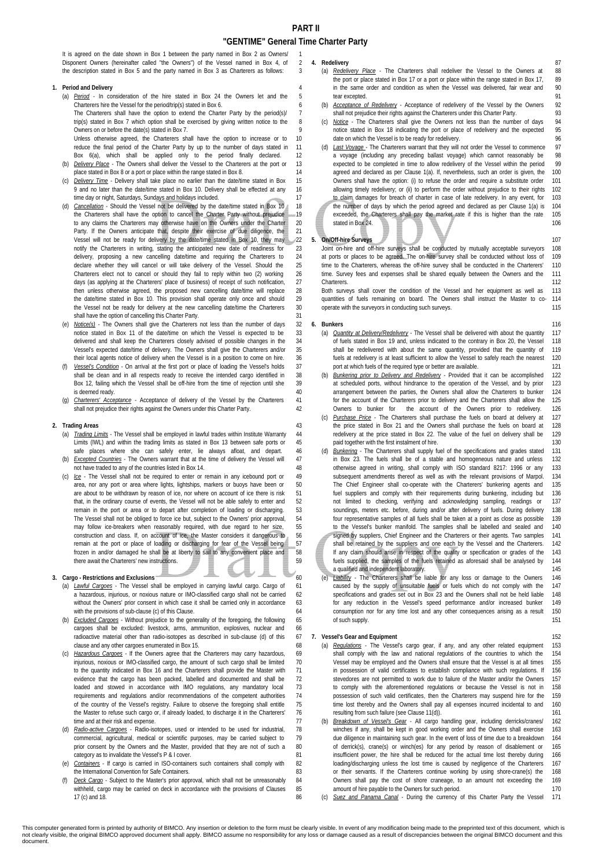# **PART II "GENTIME" General Time Charter Party**

It is agreed on the date shown in Box 1 between the party named in Box 2 as Owners/ Disponent Owners (hereinafter called "the Owners") of the Vessel named in Box 4, of 2 the description stated in Box 5 and the party named in Box 3 as Charterers as follows: 3

#### **1. Period and Delivery** 4

- (a) *Period* In consideration of the hire stated in Box 24 the Owners let and the 5 Charterers hire the Vessel for the period/trip(s) stated in Box 6. 6
	- The Charterers shall have the option to extend the Charter Party by the period(s)/  $7$  trin(s) stated in Box 7 which option shall be exercised by giving written potice to the trip(s) stated in Box 7 which option shall be exercised by giving written notice to the 8<br>Channers on or before the data(s) stated in Box 7 Owners on or before the date(s) stated in Box 7. Unless otherwise agreed, the Charterers shall have the option to increase or to 10 reduce the final period of the Charter Party by up to the number of days stated in 11
- reduce the final period of the Charter Party by up to the number of days stated in Box 6(a), which shall be applied only to the period finally declared. 12 (b) *Delivery Place* - The Owners shall deliver the Vessel to the Charterers at the port or 13
- place stated in Box 8 or a port or place within the range stated in Box 8. 14
- (c) *Delivery Time* Delivery shall take place no earlier than the date/time stated in Box 15 9 and no later than the date/time stated in Box 10. Delivery shall be effected at any 16 time day or night, Saturdays, Sundays and holidays included. 17
- (d) *Cancellation* Should the Vessel not be delivered by the date/time stated in Box 10 18 the Charterers shall have the option to cancel the Charter Party without prejudice 19 to any claims the Charterers may otherwise have on the Owners under the Charter 20<br>Party If the Owners anticinate that despite their exercise of due dilinence the 21 Party. If the Owners anticipate that, despite their exercise of due diligence, the Vessel will not be ready for delivery by the date/time stated in Box 10, they may 22 notify the Charterers in writing, stating the anticipated new date of readiness for 23<br>delivery, proposing a new cancelling date/time and requiring the Charterers to 24 delivery, proposing a new cancelling date/time and requiring the Charterers to declare whether they will cancel or will take delivery of the Vessel. Should the 25 Charterers elect not to cancel or should they fail to reply within two (2) working 26 days (as applying at the Charterers' place of business) of receipt of such notification, 27 then unless otherwise agreed, the proposed new cancelling date/time will replace 28 the date/time stated in Box 10. This provision shall operate only once and should 29 the Vessel not be ready for delivery at the new cancelling date/time the Charterers 30 shall have the option of cancelling this Charter Party.  $31$
- (e) *Notice(s)* The Owners shall give the Charterers not less than the number of days 32<br>notice stated in Box 11 of the date/time on which the Vessel is expected to be 33 notice stated in Box 11 of the date/time on which the Vessel is expected to be delivered and shall keep the Charterers closely advised of possible changes in the 34<br>Vessel's expected date/time of delivery. The Owners shall give the Charterers and/or 35 Vessel's expected date/time of delivery. The Owners shall give the Charterers and/or 35<br>their local agents notice of delivery when the Vessel is in a position to come on hire 36 their local agents notice of delivery when the Vessel is in a position to come on hire
- (f) *Vessel's Condition* On arrival at the first port or place of loading the Vessel's holds 37 shall be clean and in all respects ready to receive the intended cargo identified in 38 Box 12, failing which the Vessel shall be off-hire from the time of rejection until she 39 is deemed ready. 40
- Charterers' Acceptance Acceptance of delivery of the Vessel by the Charterers 41 shall not prejudice their rights against the Owners under this Charter Party. 42

#### **2. Trading Areas** 43

- (a) *Trading Limits* The Vessel shall be employed in lawful trades within Institute Warranty 44 Limits (IWL) and within the trading limits as stated in Box 13 between safe ports or 45 safe places where she can safely enter, lie always afloat, and depart. 46<br>Excepted Countries - The Owners warrant that at the time of delivery the Vessel will 47
- **Excepted Countries** The Owners warrant that at the time of delivery the Vessel will 47<br>not have traded to any of the countries listed in Box 14. not have traded to any of the countries listed in Box 14.
- (c) *Ice* The Vessel shall not be required to enter or remain in any icebound port or 49 area, nor any port or area where lights, lightships, markers or buoys have been or 50 are about to be withdrawn by reason of ice, nor where on account of ice there is risk 51 that, in the ordinary course of events, the Vessel will not be able safely to enter and 52 remain in the port or area or to depart after completion of loading or discharging. 53 The Vessel shall not be obliged to force ice but, subject to the Owners' prior approval, 54 may follow ice-breakers when reasonably required, with due regard to her size, 55 may follow ice-breakers when reasonably required, with due regard to her size, 55<br>construction and class. If, on account of ice, the Master considers it dangerous to 56 construction and class. If, on account of ice, the Master considers it dangerous to remain at the port or place of loading or discharging for fear of the Vessel being 57 frozen in and/or damaged he shall be at liberty to sail to any convenient place and 58 there await the Charterers' new instructions.

#### **3. Cargo - Restrictions and Exclusions 60**

- (a) *Lawful Cargoes* The Vessel shall be employed in carrying lawful cargo. Cargo of 61 a hazardous, injurious, or noxious nature or IMO-classified cargo shall not be carried 62 without the Owners' prior consent in which case it shall be carried only in accordance 63 with the provisions of sub-clause (c) of this Clause. 64
- (b) *Excluded Cargoes* Without prejudice to the generality of the foregoing, the following 65 cargoes shall be excluded: livestock, arms, ammunition, explosives, nuclear and 66 radioactive material other than radio-isotopes as described in sub-clause (d) of this 67 radioactive material other than radio-isotopes as described in sub-clause (d) of this clause and any other cargoes enumerated in Box 15. 68
- (c) *Hazardous Cargoes* If the Owners agree that the Charterers may carry hazardous, 69 injurious, noxious or IMO-classified cargo, the amount of such cargo shall be limited 70<br>to the quantity indicated in Boy 16 and the Charterers shall provide the Master with 71 to the quantity indicated in Box 16 and the Charterers shall provide the Master with evidence that the cargo has been packed, labelled and documented and shall be 72 loaded and stowed in accordance with IMO regulations, any mandatory local 73<br>requirements and regulations and/or recommendations of the competent authorities 74 requirements and regulations and/or recommendations of the competent authorities of the country of the Vessel's registry. Failure to observe the foregoing shall entitle 75 the Master to refuse such cargo or, if already loaded, to discharge it in the Charterers' 76 time and at their risk and expense. **77**
- (d) *Radio-active Cargoes* Radio-isotopes, used or intended to be used for industrial, 78 commercial, agricultural, medical or scientific purposes, may be carried subject to prior consent by the Owners and the Master, provided that they are not of such a 80 category as to invalidate the Vessel's P & I cover. 81
- (e) *Containers* If cargo is carried in ISO-containers such containers shall comply with 82 the International Convention for Safe Containers. 83
- (f) *Deck Cargo* Subject to the Master's prior approval, which shall not be unreasonably 84 withheld, cargo may be carried on deck in accordance with the provisions of Clauses 85 17 (c) and 18.  $86$
- **4. Redelivery** 87
	- (a) *Redelivery Place* The Charterers shall redeliver the Vessel to the Owners at 88 the port or place stated in Box 17 or a port or place within the range stated in Box 17, 89 in the same order and condition as when the Vessel was delivered, fair wear and 90 tear excepted. 91
	- (b) *Acceptance of Redelivery* Acceptance of redelivery of the Vessel by the Owners 92 shall not prejudice their rights against the Charterers under this Charter Party. 93<br>Natice - The Charterers shall nive the Owners not less than the number of days 94
	- (c) *Notice* The Charterers shall give the Owners not less than the number of days 94<br>notice stated in Box 18 indicating the port or place of redelivery and the expected 95 notice stated in Box 18 indicating the port or place of redelivery and the expected 95<br>date on which the Vessel is to be ready for redelivery. date on which the Vessel is to be ready for redelivery.<br> *Last Vovage* - The Charterers warrant that they will not order the Vessel to commence 97
	- (d) *Last Voyage* The Charterers warrant that they will not order the Vessel to commence a voyage (including any preceding ballast voyage) which cannot reasonably be 98 expected to be completed in time to allow redelivery of the Vessel within the period 99 agreed and declared as per Clause 1(a). If, nevertheless, such an order is given, the 100 Owners shall have the option: (i) to refuse the order and require a substitute order 101 allowing timely redelivery; or (ii) to perform the order without prejudice to their rights 102 to claim damages for breach of charter in case of late redelivery. In any event, for 103 the number of days by which the period agreed and declared as per Clause 1(a) is 104 exceeded, the Charterers shall pay the market rate if this is higher than the rate 105 stated in Box 24. 106

#### **5. On/Off-hire Surveys** 107

Joint on-hire and off-hire surveys shall be conducted by mutually acceptable surveyors 108<br>at ports or places to be agreed. The on-hire survey shall be conducted without loss of 109 at ports or places to be agreed. The on-hire survey shall be conducted without loss of time to the Charterers, whereas the off-hire survey shall be conducted in the Charterers' 110 time. Survey fees and expenses shall be shared equally between the Owners and the 111 Charterers. 112

Both surveys shall cover the condition of the Vessel and her equipment as well as 113 quantities of fuels remaining on board. The Owners shall instruct the Master to co- 114 operate with the surveyors in conducting such surveys. 115

#### **6. Bunkers** 116

- (a) *Quantity at Delivery/Redelivery* The Vessel shall be delivered with about the quantity 117 of fuels stated in Box 19 and, unless indicated to the contrary in Box 20, the Vessel 118 shall be redelivered with about the same quantity, provided that the quantity of  $\frac{119}{2}$  fuels at redelivery is at least sufficient to allow the Vessel to safely reach the nearest  $\frac{120}{2}$ fuels at redelivery is at least sufficient to allow the Vessel to safely reach the nearest port at which fuels of the required type or better are available. 121
- (b) *Bunkering prior to Delivery and Redelivery* Provided that it can be accomplished 122 at scheduled ports, without hindrance to the operation of the Vessel, and by prior 123 arrangement between the parties, the Owners shall allow the Charterers to bunker 124 for the account of the Charterers prior to delivery and the Charterers shall allow the 125 Owners to bunker for the account of the Owners prior to redelivery. 126
- (c) *Purchase Price* The Charterers shall purchase the fuels on board at delivery at 127 the price stated in Box 21 and the Owners shall purchase the fuels on board at 128<br>redelivery at the price stated in Box 22. The value of the fuel on delivery shall be 129 redelivery at the price stated in Box 22. The value of the fuel on delivery shall be paid together with the first instalment of hire. 130
- (d) *Bunkering* The Charterers shall supply fuel of the specifications and grades stated 131<br>in Box 23. The fuels shall be of a stable and bomogeneous nature and unless 132  $\overline{10}$  Box 23. The fuels shall be of a stable and homogeneous nature and unless 132<br>otherwise agreed in writing shall comply with ISO standard 8217; 1906 or any 133 otherwise agreed in writing, shall comply with ISO standard 8217: 1996 or any subsequent amendments thereof as well as with the relevant provisions of Marpol. 134 The Chief Engineer shall co-operate with the Charterers' bunkering agents and 135 fuel suppliers and comply with their requirements during bunkering, including but 136 not limited to checking, verifying and acknowledging sampling, readings or 137 soundings, meters etc. before, during and/or after delivery of fuels. During delivery 138 four representative samples of all fuels shall be taken at a point as close as possible 139 to the Vessel's bunker manifold. The samples shall be labelled and sealed and 140<br>signed by suppliers, Chief Engineer and the Charterers or their agents. Two samples 141 signed by suppliers, Chief Engineer and the Charterers or their agents. Two samples shall be retained by the suppliers and one each by the Vessel and the Charterers. 142 If any claim should arise in respect of the quality or specification or grades of the 143 fuels supplied, the samples of the fuels retained as aforesaid shall be analysed by 145<br>a qualified and independent laboratory a qualified and independent laboratory.
- (e) *Liability* The Charterers shall be liable for any loss or damage to the Owners 146 caused by the supply of unsuitable fuels or fuels which do not comply with the 147 specifications and grades set out in Box 23 and the Owners shall not be held liable 148 for any reduction in the Vessel's speed performance and/or increased bunker 149 consumption nor for any time lost and any other consequences arising as a result 150 of such supply. 151

## **7. Vessel's Gear and Equipment** 152

- (a) *Regulations* The Vessel's cargo gear, if any, and any other related equipment 153 shall comply with the law and national regulations of the countries to which the 154 Vessel may be employed and the Owners shall ensure that the Vessel is at all times 155<br>in possession of valid certificates to establish compliance with such requisitions. If in possession of valid certificates to establish compliance with such regulations. If stevedores are not permitted to work due to failure of the Master and/or the Owners 157 to comply with the aforementioned regulations or because the Vessel is not in 158 possession of such valid certificates, then the Charterers may suspend hire for the 159 time lost thereby and the Owners shall pay all expenses incurred incidental to and 160 resulting from such failure (see Clause 11(d)). 161
- (b) *Breakdown of Vessel's Gear* All cargo handling gear, including derricks/cranes/ 162 winches if any, shall be kept in good working order and the Owners shall exercise 163 due diligence in maintaining such gear. In the event of loss of time due to a breakdown 164 of derrick(s), crane(s) or winch(es) for any period by reason of disablement or 165 insufficient power, the hire shall be reduced for the actual time lost thereby during 166 loading/discharging unless the lost time is caused by negligence of the Charterers 167 or their servants. If the Charterers continue working by using shore-crane(s) the 168 Owners shall pay the cost of shore craneage, to an amount not exceeding the 169 amount of hire payable to the Owners for such period. 170
- (c) *Suez and Panama Canal* During the currency of this Charter Party the Vessel 171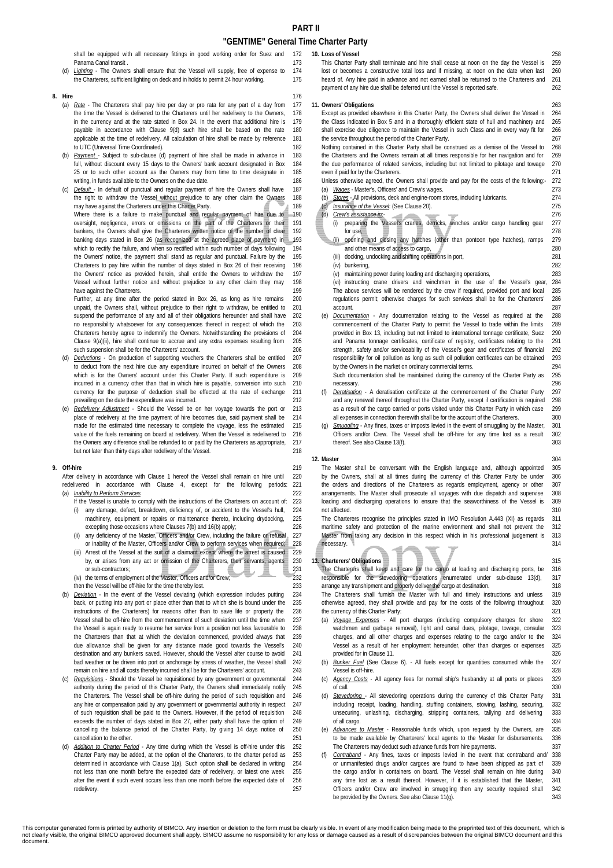## **PART II "GENTIME" General Time Charter Party**

shall be equipped with all necessary fittings in good working order for Suez and 172 Panama Canal transit . 173

(d) *Lighting* - The Owners shall ensure that the Vessel will supply, free of expense to 174 the Charterers, sufficient lighting on deck and in holds to permit 24 hour working. 175

#### **8. Hire** 176

- (a) *Rate* The Charterers shall pay hire per day or pro rata for any part of a day from 177 the time the Vessel is delivered to the Charterers until her redelivery to the Owners, 178<br>in the currency and at the rate stated in Box 24. In the event that additional hire is 179 in the currency and at the rate stated in Box 24. In the event that additional hire is 179 payable in accordance with Clause  $9(d)$  such hire shall be based on the rate 180 payable in accordance with Clause  $9(d)$  such hire shall be based on the rate applicable at the time of redelivery. All calculation of hire shall be made by reference 181 to UTC (Universal Time Coordinated). 182
- Payment Subject to sub-clause (d) payment of hire shall be made in advance in 183 full, without discount every 15 days to the Owners' bank account designated in Box 184 25 or to such other account as the Owners may from time to time designate in 185 writing, in funds available to the Owners on the due date.
- (c) *Default*  In default of punctual and regular payment of hire the Owners shall have 187 the right to withdraw the Vessel without prejudice to any other claim the Owners 188 may have against the Charterers under this Charter Party. 189 Where there is a failure to make punctual and regular payment of hire due to  $-190$  oversinht peolinence errors or omissions on the part of the Charlerers or their 191 oversight, negligence, errors or omissions on the part of the Charterers or their 191 bankers, the Owners shall give the Charterers written notice of the number of clear 192 banking days stated in Box 26 (as recognized at the agreed place of payment) in 193 which to rectify the failure, and when so rectified within such number of days following 194<br>the Owners' notice the payment shall stand as reqular and punctual Failure by the 195 the Owners' notice, the payment shall stand as regular and punctual. Failure by the Charterers to pay hire within the number of days stated in Box 26 of their receiving 196 the Owners' notice as provided herein, shall entitle the Owners to withdraw the 197 Vessel without further notice and without prejudice to any other claim they may 198 have against the Charterers. 199 Further, at any time after the period stated in Box 26, as long as hire remains 200

unpaid, the Owners shall, without prejudice to their right to withdraw, be entitled to 201 suspend the performance of any and all of their obligations hereunder and shall have 202 no responsibility whatsoever for any consequences thereof in respect of which the 203<br>Charterers hereby agree to indemnify the Owners. Notwithstanding the provisions of 204 Charterers hereby agree to indemnify the Owners. Notwithstanding the provisions of Clause 9(a)(ii), hire shall continue to accrue and any extra expenses resulting from 205 such suspension shall be for the Charterers' account. 206<br>Deductions - On production of supporting vouchers the Charterers shall be entitled 207

- (d) *Deductions* On production of supporting vouchers the Charterers shall be entitled to deduct from the next hire due any expenditure incurred on behalf of the Owners 208 which is for the Owners' account under this Charter Party. If such expenditure is 209 incurred in a currency other than that in which hire is payable, conversion into such 210 currency for the purpose of deduction shall be effected at the rate of exchange 211 prevailing on the date the expenditure was incurred. 212
- (e) *Redelivery Adjustment* Should the Vessel be on her voyage towards the port or 213 place of redelivery at the time payment of hire becomes due, said payment shall be 214 made for the estimated time necessary to complete the voyage, less the estimated 215 value of the fuels remaining on board at redelivery. When the Vessel is redelivered to 216 value of the fuels remaining on board at redelivery. When the Vessel is redelivered to the Owners any difference shall be refunded to or paid by the Charterers as appropriate, 217 but not later than thirty days after redelivery of the Vessel. 218

#### **9. Off-hire** 219

After delivery in accordance with Clause 1 hereof the Vessel shall remain on hire until 220 redelivered in accordance with Clause 4, except for the following periods: 221 (a) *Inability to Perform Services* 222

- If the Vessel is unable to comply with the instructions of the Charterers on account of: 223 (i) any damage, defect, breakdown, deficiency of, or accident to the Vessel's hull, 224 machinery, equipment or repairs or maintenance thereto, including drydocking, 225 excepting those occasions where Clauses 7(b) and 16(b) apply;<br>any deficiency of the Master, Officers and/or Crew, including the failure or refusal. 227
- (ii) any deficiency of the Master, Officers and/or Crew, including the failure or refusal or inability of the Master, Officers and/or Crew to perform services when required; 228
- (iii) Arrest of the Vessel at the suit of a claimant except where the arrest is caused 229 by or arises from any act or omission of the Charlescapt servants, agents 230 by, or arises from any act or omission of the Charterers, their servants, agents 230<br>or sub-contractors: or sub-contractors; 231
- (iv) the terms of employment of the Master, Officers and/or Crew; 232 then the Vessel will be off-hire for the time thereby lost. 233
- 
- (b) *Deviation* In the event of the Vessel deviating (which expression includes putting 234 back, or putting into any port or place other than that to which she is bound under the 235 instructions of the Charterers) for reasons other than to save life or property the 236 Vessel shall be off-hire from the commencement of such deviation until the time when 237 the Vessel is again ready to resume her service from a position not less favourable to 238<br>the Charterers than that at which the deviation commenced, provided always that 239 the Charterers than that at which the deviation commenced, provided always that due allowance shall be given for any distance made good towards the Vessel's 240 destination and any bunkers saved. However, should the Vessel alter course to avoid 241 bad weather or be driven into port or anchorage by stress of weather, the Vessel shall 242<br>comain on bire and all costs thereby incurred shall be for the Charterers' account remain on hire and all costs thereby incurred shall be for the Charterers' account.
- (c) *Requisitions* Should the Vessel be requisitioned by any government or governmental 244 authority during the period of this Charter Party, the Owners shall immediately notify 245 the Charterers. The Vessel shall be off-hire during the period of such requisition and 246 any hire or compensation paid by any government or governmental authority in respect 247 of such requisition shall be paid to the Owners. However, if the period of requisition 248 exceeds the number of days stated in Box 27, either party shall have the option of 249 cancelling the balance period of the Charter Party, by giving 14 days notice of 250 cancellation to the other
- (d) *Addition to Charter Period* Any time during which the Vessel is off-hire under this 252 Charter Party may be added, at the option of the Charterers, to the charter period as 253 determined in accordance with Clause 1(a). Such option shall be declared in writing 254 not less than one month before the expected date of redelivery, or latest one week 255 after the event if such event occurs less than one month before the expected date of 256 redelivery. 257

# **10. Loss of Vessel** 258

This Charter Party shall terminate and hire shall cease at noon on the day the Vessel is 259 lost or becomes a constructive total loss and if missing, at noon on the date when last 260 heard of. Any hire paid in advance and not earned shall be returned to the Charterers and 261 payment of any hire due shall be deferred until the Vessel is reported safe. 262

**11. Owners' Obligations** 263 Except as provided elsewhere in this Charter Party, the Owners shall deliver the Vessel in 264<br>the Class indicated in Box 5 and in a thoroughly efficient state of hull and machinery and 265 the Class indicated in Box 5 and in a thoroughly efficient state of hull and machinery and 265<br>shall exercise due diligence to maintain the Vessel in such Class and in every way fit for 266 shall exercise due diligence to maintain the Vessel in such Class and in every way fit for 266<br>the service throughout the period of the Charter Party the service throughout the period of the Charter Party. Nothing contained in this Charter Party shall be construed as a demise of the Vessel to 268 the Charterers and the Owners remain at all times responsible for her navigation and for 269 the due performance of related services, including but not limited to pilotage and towage 270 even if paid for by the Charterers. 271 Unless otherwise agreed, the Owners shall provide and pay for the costs of the following:- 272 (a) *Wages* - Master's, Officers' and Crew's wages. 273 (b) *Stores* - All provisions, deck and engine-room stores, including lubricants. 274 (c) *Insurance of the Vessel*: (See Clause 20). 275 (d) *Crew's assistance in*:- 276 (i) preparing the Vessel's cranes, derricks, winches and/or cargo handling gear 277 for use, 278 (ii) opening and closing any hatches (other than pontoon type hatches), ramps 279 and other means of access to cargo, 280<br>
docking undocking and shifting operations in port 281 (iii) docking, undocking and shifting operations in port, (iv) bunkering, 282 (v) maintaining power during loading and discharging operations, 283 (vi) instructing crane drivers and winchmen in the use of the Vessel's gear, 284 The above services will be rendered by the crew if required, provided port and local 285 regulations permit; otherwise charges for such services shall be for the Charterers' 286 account. 287 (e) *Documentation* - Any documentation relating to the Vessel as required at the 288 commencement of the Charter Party to permit the Vessel to trade within the limits 289<br>provided in Box 13. including but not limited to international tonnage certificate. Suez 290 provided in Box 13, including but not limited to international tonnage certificate, Suez and Panama tonnage certificates, certificate of registry, certificates relating to the 291 strength, safety and/or serviceability of the Vessel's gear and certificates of financial 292<br>responsibility for all pollution as long as such oil pollution certificates can be obtained 293 responsibility for oil pollution as long as such oil pollution certificates can be obtained by the Owners in the market on ordinary commercial terms. 294 Such documentation shall be maintained during the currency of the Charter Party as 295 necessary. 296 (f) *Deratisation* - A deratisation certificate at the commencement of the Charter Party 297 and any renewal thereof throughout the Charter Party, except if certification is required 298 as a result of the cargo carried or ports visited under this Charter Party in which case 299 all expenses in connection therewith shall be for the account of the Charterers. 300 (g) **Smuggling** - Any fines, taxes or imposts levied in the event of smuggling by the Master, 301 Officers and/or Crew. The Vessel shall be off-hire for any time lost as a result 302 Officers and/or Crew. The Vessel shall be off-hire for any time lost as a result thereof. See also Clause 13(f). 303 **12. Master** 304 The Master shall be conversant with the English language and, although appointed 305 by the Owners, shall at all times during the currency of this Charter Party be under 306 the orders and directions of the Charterers as regards employment, agency or other 307 arrangements. The Master shall prosecute all voyages with due dispatch and supervise 308 loading and discharging operations to ensure that the seaworthiness of the Vessel is 309 not affected. **310** The Charterers recognise the principles stated in IMO Resolution A.443 (XI) as regards 311 maritime safety and protection of the marine environment and shall not prevent the 312<br>Master from taking any decision in this respect which in his professional judgement is 313 Master from taking any decision in this respect which in his professional judgement is necessary. **314 1999 1999 1999 1999 1999 1999 1999 1999 1999 1999 1999 1999 1999 1999 1999 1999 1999 1999 1999 1999 1999 1999 1999 1999 1999 1999 1999 1999 1999 1 13. Charterers' Obligations** 315<br>The Charterers shall keep and care for the cargo at loading and discharging ports be 316 The Charterers shall keep and care for the cargo at loading and discharging ports, be responsible for the stevedoring operations enumerated under sub-clause 13(d), 317 arrange any transhipment and properly deliver the cargo at destination. 318 The Charterers shall furnish the Master with full and timely instructions and unless 319 otherwise agreed, they shall provide and pay for the costs of the following throughout 320 the currency of this Charter Party: 321 (a) *Voyage Expenses* - All port charges (including compulsory charges for shore 322 watchmen and garbage removal), light and canal dues, pilotage, towage, consular 323<br>charges, and all other charges and expenses relating to the cargo and/or to the 324 charges, and all other charges and expenses relating to the cargo and/or to the Vessel as a result of her employment hereunder, other than charges or expenses 325 provided for in Clause 11.  $\frac{326}{326}$ (b) *Bunker Fuel* (See Clause 6). - All fuels except for quantities consumed while the 327 Vessel is off-hire (c) *Agency Costs* - All agency fees for normal ship's husbandry at all ports or places 329 of call. 330 (d) *Stevedoring* - All stevedoring operations during the currency of this Charter Party 331 including receipt, loading, handling, stuffing containers, stowing, lashing, securing, 332 unsecuring, unlashing, discharging, stripping containers, tallying and delivering 333 of all cargo. 334 (e) *Advances to Master* - Reasonable funds which, upon request by the Owners, are 335 to be made available by Charterers' local agents to the Master for disbursements. The Charterers may deduct such advance funds from hire payments. 337

Contraband - Any fines, taxes or imposts levied in the event that contraband and/ 338 or unmanifested drugs and/or cargoes are found to have been shipped as part of 339 the cargo and/or in containers on board. The Vessel shall remain on hire during 340 any time lost as a result thereof. However, if it is established that the Master, 341 Officers and/or Crew are involved in smuggling then any security required shall 342 be provided by the Owners. See also Clause 11(g). 343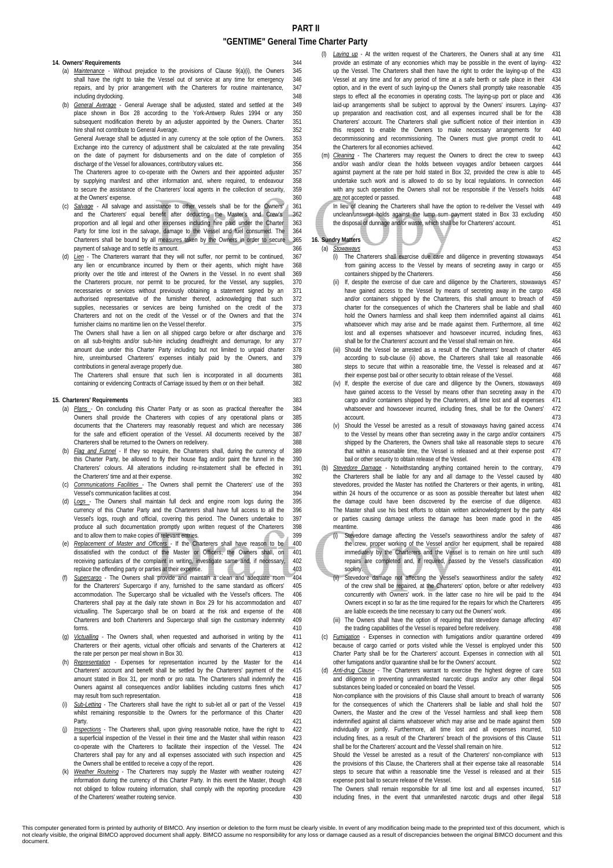**PART II "GENTIME" General Time Charter Party**

#### **14. Owners' Requirements** 344

- (a) *Maintenance* Without prejudice to the provisions of Clause 9(a)(i), the Owners 345 shall have the right to take the Vessel out of service at any time for emergency 346 repairs, and by prior arrangement with the Charterers for routine maintenance, 347 including drydocking. 348
- (b) *General Average* General Average shall be adjusted, stated and settled at the 349 place shown in Box 28 according to the York-Antwerp Rules 1994 or any 350 subsequent modification thereto by an adjuster annointed by the Owners Charter 351 subsequent modification thereto by an adjuster appointed by the Owners. Charter 351 hire shall not contribute to General Average. General Average shall be adjusted in any currency at the sole option of the Owners. 353

Exchange into the currency of adjustment shall be calculated at the rate prevailing 354 on the date of payment for disbursements and on the date of completion of 355 discharge of the Vessel for allowances, contributory values etc. 356 The Charterers agree to co-operate with the Owners and their appointed adjuster 357

by supplying manifest and other information and, where required, to endeavour 358 to secure the assistance of the Charterers' local agents in the collection of security, 359 at the Owners' expense. 360

- (c) *Salvage* All salvage and assistance to other vessels shall be for the Owners' 361 and the Charterers' equal benefit after deducting the Master's and Crew's 362 proportion and all legal and other expenses including hire paid under the Charter 363<br>Party for time lost in the salvage, damage to the Vessel and fuel consumed. The 364 .<br>Party for time lost in the salvage, damage to the Vessel and fuel consumed. The Charterers shall be bound by all measures taken by the Owners in order to secure 365 payment of salvage and to settle its amount.<br> *I ien* - The Charterers warrant that they will not suffer nor permit to be continued 367
- (d) *Lien* The Charterers warrant that they will not suffer, nor permit to be continued, any lien or encumbrance incurred by them or their agents, which might have 368 priority over the title and interest of the Owners in the Vessel. In no event shall 369 the Charterers procure, nor permit to be procured, for the Vessel, any supplies, 370 necessaries or services without previously obtaining a statement signed by an 371 authorised representative of the furnisher thereof, acknowledging that such 372 supplies, necessaries or services are being furnished on the credit of the 373 Charterers and not on the credit of the Vessel or of the Owners and that the 374 furnisher claims no maritime lien on the Vessel therefor. 375

The Owners shall have a lien on all shipped cargo before or after discharge and 376 on all sub-freights and/or sub-hire including deadfreight and demurrage, for any 377 amount due under this Charter Party including but not limited to unpaid charter 378<br>hire unreimbursed Charterers' expenses initially paid by the Owners and 379 hire, unreimbursed Charterers' expenses initially paid by the Owners, and contributions in general average properly due. 380

The Charterers shall ensure that such lien is incorporated in all documents 381 containing or evidencing Contracts of Carriage issued by them or on their behalf. 382

#### **15. Charterers' Requirements** 383

- (a) *Plans*  On concluding this Charter Party or as soon as practical thereafter the 384 Owners shall provide the Charterers with copies of any operational plans or 385 documents that the Charterers may reasonably request and which are necessary 386<br>for the safe and efficient operation of the Vessel. All documents received by the 387 for the safe and efficient operation of the Vessel. All documents received by the Charterers shall be returned to the Owners on redelivery. 388
- (b) *Flag and Funnel* If they so require, the Charterers shall, during the currency of 389 this Charter Party, be allowed to fly their house flag and/or paint the funnel in the 390<br>Charterers' colours. All alterations including re-instatement shall be effected in 391 Charterers' colours. All alterations including re-instatement shall be effected in the Charterers' time and at their expense. 392
- (c) *Communications Facilities*  The Owners shall permit the Charterers' use of the 393 Vessel's communication facilities at cost. 394
- (d) *Logs*  The Owners shall maintain full deck and engine room logs during the 395 currency of this Charter Party and the Charterers shall have full access to all the 396 Vessel's logs, rough and official, covering this period. The Owners undertake to 397 produce all such documentation promptly upon written request of the Charterers 398 and to allow them to make copies of relevant entries. 399
- (e) *Replacement of Master and Officers*  If the Charterers shall have reason to be 400 dissatisfied with the conduct of the Master or Officers, the Owners shall, on 401<br>receiving particulars of the complaint in writing investigate same and if peoplessing receiving particulars of the complaint in writing, investigate same and, if necessary, 402<br>contace the offending party or parties at their expense replace the offending party or parties at their expense.
- Supercargo The Owners shall provide and maintain a clean and adequate room 404 for the Charterers' Supercargo if any, furnished to the same standard as officers' 405 accommodation. The Supercargo shall be victualled with the Vessel's officers. The 406 Charterers shall pay at the daily rate shown in Box 29 for his accommodation and 407 victualling. The Supercargo shall be on board at the risk and expense of the 408 Charterers and both Charterers and Supercargo shall sign the customary indemnity 409 forms. 410
- (g) *Victualling* The Owners shall, when requested and authorised in writing by the 411 Charterers or their agents, victual other officials and servants of the Charterers at 412 the rate per person per meal shown in Box 30. 413
- (h) *Representation* Expenses for representation incurred by the Master for the 414<br>Charterers' account and benefit shall be settled by the Charterers' nayment of the 415 Charterers' account and benefit shall be settled by the Charterers' payment of the amount stated in Box 31, per month or pro rata. The Charterers shall indemnify the 416 Owners against all consequences and/or liabilities including customs fines which 417 may result from such representation. 418
- (i) *Sub-Letting* The Charterers shall have the right to sub-let all or part of the Vessel 419 whilst remaining responsible to the Owners for the performance of this Charter 420 Party. 421
- (j) *Inspections* The Charterers shall, upon giving reasonable notice, have the right to 422<br>a superficial inspection of the Vessel in their time and the Master shall within reason 423 a superficial inspection of the Vessel in their time and the Master shall within reason co-operate with the Charterers to facilitate their inspection of the Vessel. The 424 Charterers shall pay for any and all expenses associated with such inspection and 425 the Owners shall be entitled to receive a copy of the report. 426
- Weather Routeing The Charterers may supply the Master with weather routeing 427 information during the currency of this Charter Party. In this event the Master, though 428 not obliged to follow routeing information, shall comply with the reporting procedure 429 of the Charterers' weather routeing service. 430
- (l) *Laying up* At the written request of the Charterers, the Owners shall at any time 431 provide an estimate of any economies which may be possible in the event of laying- 432 up the Vessel. The Charterers shall then have the right to order the laying-up of the 433 Vessel at any time and for any period of time at a safe berth or safe place in their 434 option, and in the event of such laying-up the Owners shall promptly take reasonable 435 steps to effect all the economies in operating costs. The laying-up port or place and 436 laid-up arrangements shall be subject to approval by the Owners' insurers. Laying- 437 up preparation and reactivation cost, and all expenses incurred shall be for the 438<br>Charterers' account The Charterers shall give sufficient notice of their intention in 439 Charterers' account. The Charterers shall give sufficient notice of their intention in 439 this respect to enable the Owners to make necessary arrangements for  $440$ <br>decommissioning and recommissioning. The Owners must give prompt credit to  $441$ decommissioning and recommissioning. The Owners must give prompt credit to 441 the Charterers for all economies achieved.
- (m) *Cleaning* The Charterers may request the Owners to direct the crew to sweep 443 and/or wash and/or clean the holds between voyages and/or between cargoes 444 against payment at the rate per hold stated in Box 32, provided the crew is able to 445 undertake such work and is allowed to do so by local regulations. In connection 446 with any such operation the Owners shall not be responsible if the Vessel's holds 447 are not accepted or passed. 448

In lieu of cleaning the Charterers shall have the option to re-deliver the Vessel with 449 unclean/unswept holds against the lump sum payment stated in Box 33 excluding 450 the disposal of dunnage and/or waste, which shall be for Charterers' account. 451

# **16. Sundry Matters** 452

- (a) *Stowaways* 453<br>(b) The Charlerers shall exercise due care and diligence in preventing stowaways 454  $(i)$  The Charterers shall exercise due care and diligence in preventing stowaways from gaining access to the Vessel by means of secreting away in cargo or 455 containers shipped by the Charterers. 456
	- If, despite the exercise of due care and diligence by the Charterers, stowaways 457 have gained access to the Vessel by means of secreting away in the cargo 458 and/or containers shipped by the Charterers, this shall amount to breach of 459 charter for the consequences of which the Charterers shall be liable and shall 460 hold the Owners harmless and shall keep them indemnified against all claims 461 whatsoever which may arise and be made against them. Furthermore, all time 462<br>lost and all expenses whatsoever and howsoever incurred, including fines, 463 lost and all expenses whatsoever and howsoever incurred, including fines, shall be for the Charterers' account and the Vessel shall remain on hire. 464
	- (iii) Should the Vessel be arrested as a result of the Charterers' breach of charter 465<br>according to sub-clause (ii) above the Charterers shall take all reasonable 466 according to sub-clause (ii) above, the Charterers shall take all reasonable steps to secure that within a reasonable time, the Vessel is released and at 467 their expense post bail or other security to obtain release of the Vessel. 468
	- (iv) If, despite the exercise of due care and diligence by the Owners, stowaways 469 have gained access to the Vessel by means other than secreting away in the 470 cargo and/or containers shipped by the Charterers, all time lost and all expenses 471 whatsoever and howsoever incurred, including fines, shall be for the Owners' 472 account. 473
	- (v) Should the Vessel be arrested as a result of stowaways having gained access 474<br>to the Vessel by means other than secreting away in the cargo and/or containers 475 to the Vessel by means other than secreting away in the cargo and/or containers shipped by the Charterers, the Owners shall take all reasonable steps to secure 476 that within a reasonable time, the Vessel is released and at their expense post 477<br>hail or other security to obtain release of the Vessel bail or other security to obtain release of the Vessel. 478<br>
	vedore, Damage - Notwithstanding, anything, contained, berein, to the contrary 479
- (b) **Stevedore Damage** Notwithstanding anything contained herein to the contrary the Charterers shall be liable for any and all damage to the Vessel caused by 480 stevedores, provided the Master has notified the Charterers or their agents, in writing, 481 within 24 hours of the occurrence or as soon as possible thereafter but latest when 482 the damage could have been discovered by the exercise of due diligence. 483 The Master shall use his best efforts to obtain written acknowledgment by the party 484 or parties causing damage unless the damage has been made good in the 485 meantime. 486

(i) Stevedore damage affecting the Vessel's seaworthiness and/or the safety of 487 the crew, proper working of the Vessel and/or her equipment, shall be repaired 488 immediately by the Charterers and the Vessel is to remain on hire until such 489<br>renairs are completed and if required massed by the Vessel's classification 490 repairs are completed and, if required, passed by the Vessel's classification 490<br>society 491 society. And the society. And the society. And the society. And the society. And the society. And the society of the society of the society. And the society of the society of the society of the society of the society of th

Stevedore damage not affecting the Vessel's seaworthiness and/or the safety 492 of the crew shall be repaired, at the Charterers' option, before or after redelivery 493 concurrently with Owners' work. In the latter case no hire will be paid to the 494 Owners except in so far as the time required for the repairs for which the Charterers 495 are liable exceeds the time necessary to carry out the Owners' work. 496

- (iii) The Owners shall have the option of requiring that stevedore damage affecting 497 the trading capabilities of the Vessel is repaired before redelivery.<br>
bigation - Expenses in connection with fumigations and/or quarantine ordered 499
- (c) *Fumigation* Expenses in connection with fumigations and/or quarantine ordered because of cargo carried or ports visited while the Vessel is employed under this 500 Charter Party shall be for the Charterers' account. Expenses in connection with all 501 other fumigations and/or quarantine shall be for the Owners' account. 502<br>Apticdrug Clause - The Charlerers warrant to exercise the bighest degree of care 503

Anti-drug Clause - The Charterers warrant to exercise the highest degree of care and diligence in preventing unmanifested narcotic drugs and/or any other illegal 504 substances being loaded or concealed on board the Vessel. 605 Non-compliance with the provisions of this Clause shall amount to breach of warranty 506 for the consequences of which the Charterers shall be liable and shall hold the 507 Owners, the Master and the crew of the Vessel harmless and shall keep them 508 indemnified against all claims whatsoever which may arise and be made against them 509<br>individually or jointly. Furthermore, all time lost and all expenses incurred. 510 individually or jointly. Furthermore, all time lost and all expenses incurred, 510 including fines as a result of the Charlerers' breach of the provisions of this Clause 511 including fines, as a result of the Charterers' breach of the provisions of this Clause shall be for the Charterers' account and the Vessel shall remain on hire. 512 Should the Vessel be arrested as a result of the Charterers' non-compliance with 513 the provisions of this Clause, the Charterers shall at their expense take all reasonable 514 steps to secure that within a reasonable time the Vessel is released and at their 515

expense post bail to secure release of the Vessel. 516 The Owners shall remain responsible for all time lost and all expenses incurred, 517 including fines, in the event that unmanifested narcotic drugs and other illegal 518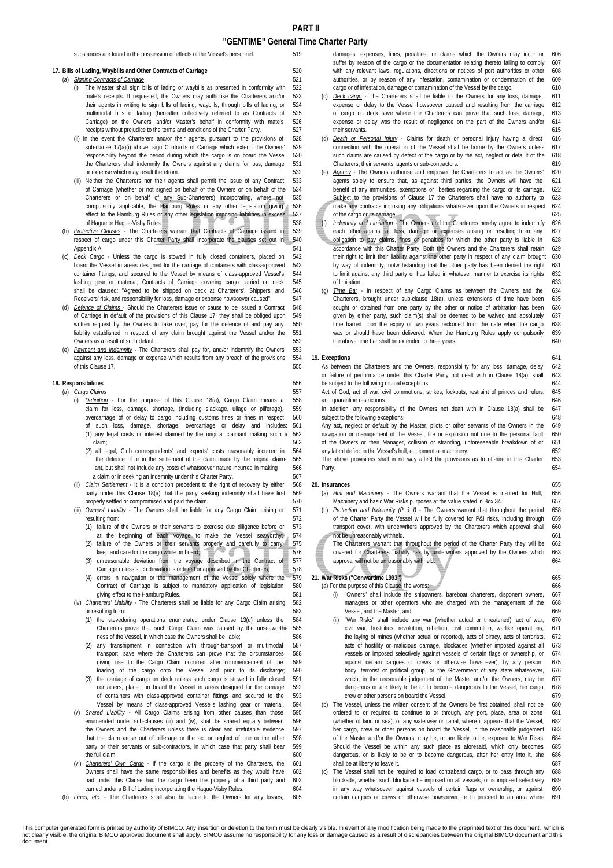substances are found in the possession or effects of the Vessel's personnel. 519

#### **17. Bills of Lading, Waybills and Other Contracts of Carriage** 520

- (a) *Signing Contracts of Carriage* 521
	- (i) The Master shall sign bills of lading or waybills as presented in conformity with 522 mate's receipts. If requested, the Owners may authorise the Charterers and/or 523 their agents in writing to sign bills of lading, waybills, through bills of lading, or 524 multimodal bills of lading (hereafter collectively referred to as Contracts of 525<br>Carriage) on the Owners' and/or Master's behalf in conformity with mate's 526 Carriage) on the Owners' and/or Master's behalf in conformity with mate's 526 receipts without prejudice to the terms and conditions of the Charter Party. 527 receipts without prejudice to the terms and conditions of the Charter Party.
	- (ii) In the event the Charterers and/or their agents, pursuant to the provisions of 528 sub-clause 17(a)(i) above, sign Contracts of Carriage which extend the Owners' 529 responsibility beyond the period during which the cargo is on board the Vessel 530 the Charterers shall indemnify the Owners against any claims for loss, damage 531 or expense which may result therefrom. 532
	- (iii) Neither the Charterers nor their agents shall permit the issue of any Contract 533 of Carriage (whether or not signed on behalf of the Owners or on behalf of the 534 Charterers or on behalf of any Sub-Charterers) incorporating, where not 535 compulsorily applicable, the Hamburg Rules or any other legislation giving 536 effect to the Hamburg Rules or any other legislation imposing liabilities in excess 537 of Hague or Hague-Visby Rules.<br>
	Subsettive Clauses - The Charterers warrant that Contracts of Carriage issued in 539
	- *Protective Clauses* The Charterers warrant that Contracts of Carriage issued respect of cargo under this Charter Party shall incorporate the clauses set out in 540 Appendix A. 541
	- (c) *Deck Cargo* Unless the cargo is stowed in fully closed containers, placed on 542 board the Vessel in areas designed for the carriage of containers with class-approved 543 container fittings, and secured to the Vessel by means of class-approved Vessel's 544 lashing gear or material, Contracts of Carriage covering cargo carried on deck 545 shall be claused: "Agreed to be shipped on deck at Charterers', Shippers' and 546 Receivers' risk, and responsibility for loss, damage or expense howsoever caused". 547
	- (d) *Defence of Claims*  Should the Charterers issue or cause to be issued a Contract 548 of Carriage in default of the provisions of this Clause 17, they shall be obliged upon 549 written request by the Owners to take over, pay for the defence of and pay any 550<br>liability established in respect of any claim brought against the Vessel and/or the 551 liability established in respect of any claim brought against the Vessel and/or the Owners as a result of such default. 552
	- (e) *Payment and Indemnity* The Charterers shall pay for, and/or indemnify the Owners 553 against any loss, damage or expense which results from any breach of the provisions of this Clause 17. 555

#### **18. Responsibilities** 556

- (a) *Cargo Claims* 557
	- (i) *Definition* For the purpose of this Clause 18(a), Cargo Claim means a 558 claim for loss, damage, shortage, (including slackage, ullage or pilferage), 559 overcarriage of or delay to cargo including customs fines or fines in respect 560 of such loss, damage, shortage, overcarriage or delay and includes: 561<br>(1) any legal costs or interest claimed by the original claimant making such a 562 (1) any legal costs or interest claimed by the original claimant making such a claim; 563
		- (2) all legal, Club correspondents' and experts' costs reasonably incurred in 564 the defence of or in the settlement of the claim made by the original claim-<br>and but shall not include any costs of whatsoever pature incurred in making ant, but shall not include any costs of whatsoever nature incurred in making a claim or in seeking an indemnity under this Charter Party. 567
	- (ii) *Claim Settlement* It is a condition precedent to the right of recovery by either 568 party under this Clause 18(a) that the party seeking indemnity shall have first 569 properly settled or compromised and paid the claim. 570
	- (iii) *Owners' Liability* The Owners shall be liable for any Cargo Claim arising or 571 resulting from: 572
		- (1) failure of the Owners or their servants to exercise due diligence before or 573 at the beginning of each voyage to make the Vessel seaworthy; 574
		- (2) failure of the Owners or their servants properly and carefully to carry, 575 keep and care for the cargo while on board;<br>unreasonable, deviation, from the voyage described in the Contract of 577
		- (3) unreasonable deviation from the voyage described in the Contract of 577 Carriage unless such deviation is ordered or approved by the Charterers
		- (4) errors in navigation or the management of the Vessel solely where the 579 Contract of Carriage is subject to mandatory application of legislation 580 giving effect to the Hamburg Rules. 581
	- (iv) *Charterers' Liability* The Charterers shall be liable for any Cargo Claim arising 582 or resulting from: 583
		- (1) the stevedoring operations enumerated under Clause 13(d) unless the 584 Charterers prove that such Cargo Claim was caused by the unseaworthi- 585 ness of the Vessel, in which case the Owners shall be liable; 586
		- (2) any transhipment in connection with through-transport or multimodal 587 transport, save where the Charterers can prove that the circumstances 588 giving rise to the Cargo Claim occurred after commencement of the 589<br>Joading of the cargo onto the Vessel and prior to its discharge: 590 loading of the cargo onto the Vessel and prior to its discharge
		- (3) the carriage of cargo on deck unless such cargo is stowed in fully closed 591 containers, placed on board the Vessel in areas designed for the carriage 592 of containers with class-approved container fittings and secured to the 593 Vessel by means of class-approved Vessel's lashing gear or material. 594
	- (v) *Shared Liability* All Cargo Claims arising from other causes than those 595 enumerated under sub-clauses (iii) and (iv), shall be shared equally between 596 the Owners and the Charterers unless there is clear and irrefutable evidence 597 that the claim arose out of pilferage or the act or neglect of one or the other 598 party or their servants or sub-contractors, in which case that party shall bear 599 the full claim. 600
	- (vi) *Charterers' Own Cargo* If the cargo is the property of the Charterers, the 601 Owners shall have the same responsibilities and benefits as they would have 602 had under this Clause had the cargo been the property of a third party and 603 carried under a Bill of Lading incorporating the Hague-Visby Rules. 604
- (b) *Fines, etc.* The Charterers shall also be liable to the Owners for any losses, 605

damages, expenses, fines, penalties, or claims which the Owners may incur or 606 suffer by reason of the cargo or the documentation relating thereto failing to comply 607 with any relevant laws, regulations, directions or notices of port authorities or other 608 authorities, or by reason of any infestation, contamination or condemnation of the 609 cargo or of infestation, damage or contamination of the Vessel by the cargo. 610

- (c) *Deck cargo* The Charterers shall be liable to the Owners for any loss, damage, 611 expense or delay to the Vessel howsoever caused and resulting from the carriage 612 of cargo on deck save where the Charterers can prove that such loss, damage, 613<br>expense or delay was the result of negligence on the part of the Owners and/or 614 expense or delay was the result of negligence on the part of the Owners and/or 614<br>their servants. their servants.
- (d) *Death or Personal Injury* Claims for death or personal injury having a direct 616 connection with the operation of the Vessel shall be borne by the Owners unless 617 such claims are caused by defect of the cargo or by the act, neglect or default of the 618 Charterers, their servants, agents or sub-contractors. 619
- (e) *Agency* The Owners authorise and empower the Charterers to act as the Owners' 620 agents solely to ensure that, as against third parties, the Owners will have the 621 benefit of any immunities, exemptions or liberties regarding the cargo or its carriage. 622 Subject to the provisions of Clause 17 the Charterers shall have no authority to 623 make any contracts imposing any obligations whatsoever upon the Owners in respect 624 of the cargo or its carriage. **625 Contact Contact Contact Contact Contact Contact Contact Contact Contact Contact Contact Contact Contact Contact Contact Contact Contact Contact Contact Contact Contact Contact Contact C**
- (f) *Indemnity and Limitation* The Owners and the Charterers hereby agree to indemnify 626 each other against all loss, damage or expenses arising or resulting from any obligation to pay claims, fines or penalties for which the other party is liable in 628 accordance with this Charter Party. Both the Owners and the Charterers shall retain 629<br>their right to limit their liability against the other narty in respect of any claim brought. 630 their right to limit their liability against the other party in respect of any claim brought by way of indemnity, notwithstanding that the other party has been denied the right 631 to limit against any third party or has failed in whatever manner to exercise its rights 632 of limitation. 633
- (g) *Time Bar* In respect of any Cargo Claims as between the Owners and the 634 Charterers, brought under sub-clause 18(a), unless extensions of time have been 635 sought or obtained from one party by the other or notice of arbitration has been 636 given by either party, such claim(s) shall be deemed to be waived and absolutely 637 time barred upon the expiry of two years reckoned from the date when the cargo 638<br>was or should have been delivered. When the Hamburg Rules apply compulsorily 639 was or should have been delivered. When the Hamburg Rules apply compulsorily the above time bar shall be extended to three years. 640

**19. Exceptions** 641 As between the Charterers and the Owners, responsibility for any loss, damage, delay 642 or failure of performance under this Charter Party not dealt with in Clause 18(a), shall 643 be subject to the following mutual exceptions: 644 Act of God, act of war, civil commotions, strikes, lockouts, restraint of princes and rulers, 645 and quarantine restrictions. 646 In addition, any responsibility of the Owners not dealt with in Clause 18(a) shall be 647 subject to the following exceptions: 648<br>Any act, neglect or default by the Master, pilots or other servants of the Owners in the 649 Any act, neglect or default by the Master, pilots or other servants of the Owners in the 649<br>navigation or management of the Vessel, fire or explosion not due to the personal fault 650 navigation or management of the Vessel, fire or explosion not due to the personal fault of the Owners or their Manager, collision or stranding, unforeseeable breakdown of or 651 any latent defect in the Vessel's hull, equipment or machinery. 652<br>The above provisions shall in no way affect the provisions as to off-bire in this Charter 653 The above provisions shall in no way affect the provisions as to off-hire in this Charter 653<br>  $653$ Party. 654 **20. Insurances** 655 (a) *Hull and Machinery* - The Owners warrant that the Vessel is insured for Hull, 656 Machinery and basic War Risks purposes at the value stated in Box 34. 657 (b) *Protection and Indemnity (P & I)* - The Owners warrant that throughout the period 658 of the Charter Party the Vessel will be fully covered for P&I risks, including through 659<br>transport cover, with underwriters approved by the Charterers which approval shall 660 transport cover, with underwriters approved by the Charterers which approval shall 660<br>not be unreasonably withheld. not be unreasonably withheld. The Charterers warrant that throughout the period of the Charter Party they will be 662 covered for Charterers' liability risk by underwriters approved by the Owners which 663<br>approved will not be unreasonably withhold approval will not be unreasonably withheld. **21. War Risks ("Conwartime 1993")** 665 (a) For the purpose of this Clause, the words: 666 (i) "Owners" shall include the shipowners, bareboat charterers, disponent owners, 667 managers or other operators who are charged with the management of the 668 Vessel, and the Master; and 669 "War Risks" shall include any war (whether actual or threatened), act of war, 670 civil war, hostilities, revolution, rebellion, civil commotion, warlike operations, 671<br>the laving of mines (whether actual or reported), acts of piracy, acts of terrorists. 672 the laying of mines (whether actual or reported), acts of piracy, acts of terrorists, acts of hostility or malicious damage, blockades (whether imposed against all 673 vessels or imposed selectively against vessels of certain flags or ownership, or 674 against certain cargoes or crews or otherwise howsoever), by any person, 675<br>body terrorist or political group or the Government of any state whatsoever 676 body, terrorist or political group, or the Government of any state whatsoever, which, in the reasonable judgement of the Master and/or the Owners, may be 677 dangerous or are likely to be or to become dangerous to the Vessel, her cargo, 678 crew or other persons on board the Vessel. 679 (b) The Vessel, unless the written consent of the Owners be first obtained, shall not be 680 ordered to or required to continue to or through, any port, place, area or zone 681

- (whether of land or sea), or any waterway or canal, where it appears that the Vessel, 682<br>her cargo, crew or other persons on board the Vessel, in the reasonable judgement 683 her cargo, crew or other persons on board the Vessel, in the reasonable judgement 683<br>of the Master and/or the Owners, may be, or are likely to be, exposed to War Risks. 684 of the Master and/or the Owners, may be, or are likely to be, exposed to War Risks. Should the Vessel be within any such place as aforesaid, which only becomes 685 dangerous, or is likely to be or to become dangerous, after her entry into it, she 686 shall be at liberty to leave it. 687 The Vessel shall not be required to load contraband cargo, or to pass through any 688
- blockade, whether such blockade be imposed on all vessels, or is imposed selectively 689 in any way whatsoever against vessels of certain flags or ownership, or against 690 certain cargoes or crews or otherwise howsoever, or to proceed to an area where 691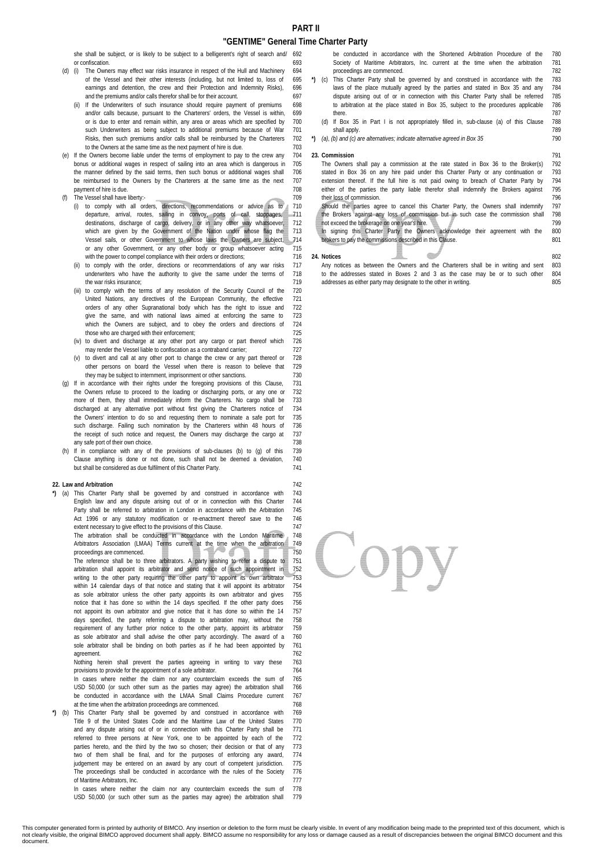she shall be subject, or is likely to be subject to a belligerent's right of search and/ 692 or confiscation. 693

- (d) (i) The Owners may effect war risks insurance in respect of the Hull and Machinery 694 of the Vessel and their other interests (including, but not limited to, loss of 695 earnings and detention, the crew and their Protection and Indemnity Risks), 696 and the premiums and/or calls therefor shall be for their account. 697
	- (ii) If the Underwriters of such insurance should require payment of premiums 698 and/or calls because, pursuant to the Charterers' orders, the Vessel is within, 699 or is due to enter and remain within, any area or areas which are specified by 700<br>such Underwriters as being subject to additional premiums because of War 701 such Underwriters as being subject to additional premiums because of War Risks, then such premiums and/or calls shall be reimbursed by the Charterers 702 to the Owners at the same time as the next payment of hire is due. 703
- (e) If the Owners become liable under the terms of employment to pay to the crew any 704 bonus or additional wages in respect of sailing into an area which is dangerous in 705 the manner defined by the said terms, then such bonus or additional wages shall 706 be reimbursed to the Owners by the Charterers at the same time as the next 707 payment of hire is due. 708
- (f) The Vessel shall have liberty:- 709
	- (i) to comply with all orders, directions, recommendations or advice as to 710<br>departure arrival routes sailing in convoy ports of call stoppages 711 departure, arrival, routes, sailing in convoy, ports of call, stoppages, destinations, discharge of cargo, delivery, or in any other way whatsoever, 712<br>which are given by the Government of the Nation under whose flag the 713 which are given by the Government of the Nation under Vessel sails, or other Government to whose laws the Owners are subject, 714<br>or any other Government or any other body or group whatsoever acting or any other Government, or any other body or group whatsoever acting 715<br>with the nower to compel compliance with their orders or directions: 716 with the power to compel compliance with their orders or directions;
	- (ii) to comply with the order, directions or recommendations of any war risks 717 underwriters who have the authority to give the same under the terms of 718 the war risks insurance; 719
	- (iii) to comply with the terms of any resolution of the Security Council of the 720 United Nations, any directives of the European Community, the effective 721 orders of any other Supranational body which has the right to issue and 722 give the same, and with national laws aimed at enforcing the same to 723 which the Owners are subject, and to obey the orders and directions of 724<br>those who are charged with their enforcement: 725 those who are charged with their enforcement;
	- (iv) to divert and discharge at any other port any cargo or part thereof which 726 may render the Vessel liable to confiscation as a contraband carrier; 727
	- (v) to divert and call at any other port to change the crew or any part thereof or 728 other persons on board the Vessel when there is reason to believe that 729 they may be subject to internment, imprisonment or other sanctions. 730
- (g) If in accordance with their rights under the foregoing provisions of this Clause, 731 the Owners refuse to proceed to the loading or discharging ports, or any one or 732 more of them, they shall immediately inform the Charterers. No cargo shall be 733 discharged at any alternative port without first giving the Charterers notice of 734 the Owners' intention to do so and requesting them to nominate a safe port for 735 such discharge. Failing such nomination by the Charterers within 48 hours of 736<br>the receipt of such notice and request. the Owners may discharge the cargo at 737 the receipt of such notice and request, the Owners may discharge the cargo at any safe port of their own choice. The matrix of their own choice.
- If in compliance with any of the provisions of sub-clauses (b) to (g) of this 739 Clause anything is done or not done, such shall not be deemed a deviation,  $740$  but shall no considered as due fulfilment of this Charter Party but shall be considered as due fulfilment of this Charter Party

#### **22. Law and Arbitration** 742

**\*)** (a) This Charter Party shall be governed by and construed in accordance with 743 English law and any dispute arising out of or in connection with this Charter 744 Party shall be referred to arbitration in London in accordance with the Arbitration 745 Act 1996 or any statutory modification or re-enactment thereof save to the 746 extent necessary to give effect to the provisions of this Clause. extent necessary to give effect to the provisions of this Clause. 747<br>The arbitration shall be conducted in accordance with the London Maritime, 748 The arbitration shall be conducted in accordance with the London Maritime Arbitrators Association (LMAA) Terms current at the time when the arbitration 749 proceedings are commenced.<br>The reference shall be to three arbitrators. A narty wishing to refer a dispute to 751 The reference shall be to three arbitrators. A party wishing to refer a dispute to 751<br>arbitration shall annoint its arbitrator and send notice of such annointment in 752 arbitration shall appoint its arbitrator and send notice of such appointment in writing to the other party requiring the other party to appoint its own arbitrator 753 within 14 calendar days of that notice and stating that it will appoint its arbitrator 754 as sole arbitrator unless the other party appoints its own arbitrator and gives 755 notice that it has done so within the 14 days specified. If the other party does 756 not appoint its own arbitrator and give notice that it has done so within the 14 757 days specified, the party referring a dispute to arbitration may, without the 758 requirement of any further prior notice to the other party, appoint its arbitrator 759 as sole arbitrator and shall advise the other party accordingly. The award of a 760 sole arbitrator shall be binding on both parties as if he had been appointed by 761 agreement. 762

Nothing herein shall prevent the parties agreeing in writing to vary these 763<br>provisions to provide for the appointment of a sole arbitrator provisions to provide for the appointment of a sole arbitrator. In cases where neither the claim nor any counterclaim exceeds the sum of 765 USD 50,000 (or such other sum as the parties may agree) the arbitration shall 766 be conducted in accordance with the LMAA Small Claims Procedure current 767

at the time when the arbitration proceedings are commenced. 768 **\*)** (b) This Charter Party shall be governed by and construed in accordance with 769 Title 9 of the United States Code and the Maritime Law of the United States 770 and any dispute arising out of or in connection with this Charter Party shall be 771<br>referred to three persons at New York, one to be appointed by each of the 772 referred to three persons at New York, one to be appointed by each of the parties hereto, and the third by the two so chosen; their decision or that of any 773 two of them shall be final, and for the purposes of enforcing any award, 774 judgement may be entered on an award by any court of competent jurisdiction. 775 The proceedings shall be conducted in accordance with the rules of the Society 776 of Maritime Arbitrators, Inc. 777

In cases where neither the claim nor any counterclaim exceeds the sum of 778 USD 50,000 (or such other sum as the parties may agree) the arbitration shall 779 be conducted in accordance with the Shortened Arbitration Procedure of the 780 Society of Maritime Arbitrators, Inc. current at the time when the arbitration 781 proceedings are commenced. The commenced of the state of the state of the state of the state of the state of the state of the state of the state of the state of the state of the state of the state of the state of the state

- **\*)** (c) This Charter Party shall be governed by and construed in accordance with the 783 laws of the place mutually agreed by the parties and stated in Box 35 and any 784 dispute arising out of or in connection with this Charter Party shall be referred 785 to arbitration at the place stated in Box 35, subject to the procedures applicable 786 there. The contract of the contract of the contract of the contract of the contract of the contract of the contract of the contract of the contract of the contract of the contract of the contract of the contract of the con
	- (d) If Box 35 in Part I is not appropriately filled in, sub-clause (a) of this Clause 788 shall apply. 789
- **\*)** *(a), (b) and (c) are alternatives; indicate alternative agreed in Box 35* 790

#### **23. Commission** 791

The Owners shall pay a commission at the rate stated in Box 36 to the Broker(s) 792 stated in Box 36 on any hire paid under this Charter Party or any continuation or 793 extension thereof. If the full hire is not paid owing to breach of Charter Party by 794 either of the parties the party liable therefor shall indemnify the Brokers against 795 their loss of commission. 796 Should the parties agree to cancel this Charter Party, the Owners shall indemnify 797

the Brokers against any loss of commission but in such case the commission shall 798 not exceed the brokerage on one year's hire. The compared on the state of the compared with the 200<br>The signing this Charler Party the Owners acknowledge their agreement with the 800

signing this Charter Party the Owners acknowledge their agreement with the brokers to pay the commissions described in this Clause. 801

**24. Notices** 802 Any notices as between the Owners and the Charterers shall be in writing and sent 803 to the addresses stated in Boxes 2 and 3 as the case may be or to such other 804 addresses as either party may designate to the other in writing. 805

This computer generated form is printed by authority of BIMCO. Any insertion or deletion to the form must be clearly visible. In event of any modification being made to the preprinted text of this document, which is

not clearly visible, the original BIMCO approved document shall apply. BIMCO assume no responsibility for any loss or damage caused as a result of discrepancies between the original BIMCO document and this document.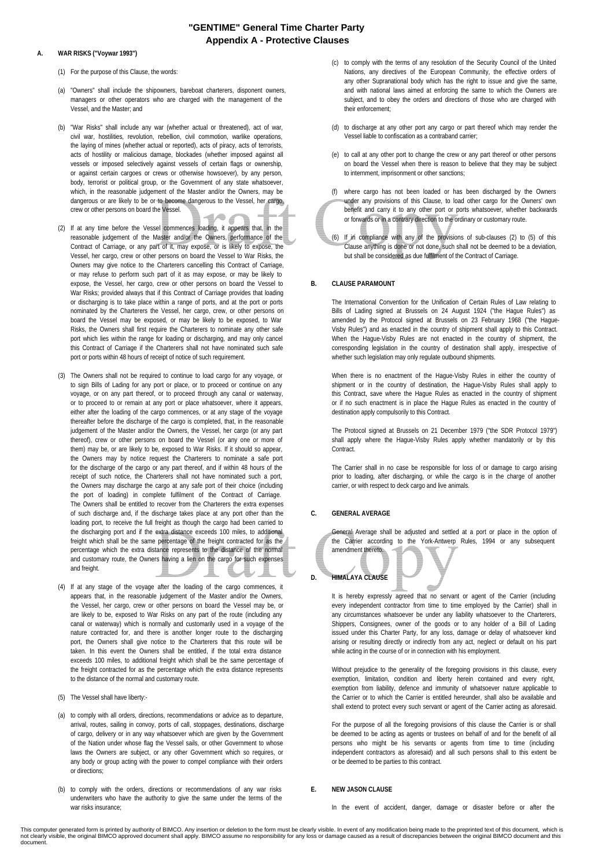# **"GENTIME" General Time Charter Party Appendix A - Protective Clauses**

#### **A. WAR RISKS ("Voywar 1993")**

- (1) For the purpose of this Clause, the words:
- (a) "Owners" shall include the shipowners, bareboat charterers, disponent owners, managers or other operators who are charged with the management of the Vessel, and the Master; and
- (b) "War Risks" shall include any war (whether actual or threatened), act of war, civil war, hostilities, revolution, rebellion, civil commotion, warlike operations, the laying of mines (whether actual or reported), acts of piracy, acts of terrorists, acts of hostility or malicious damage, blockades (whether imposed against all vessels or imposed selectively against vessels of certain flags or ownership, or against certain cargoes or crews or otherwise howsoever), by any person, body, terrorist or political group, or the Government of any state whatsoever, which, in the reasonable judgement of the Master and/or the Owners, may be dangerous or are likely to be or to become dangerous to the Vessel, her cargo, crew or other persons on board the Vessel.
- (2) If at any time before the Vessel commences loading, it appears that, in the reasonable judgement of the Master and/or the Owners, performance of the Contract of Carriage, or any part of it, may expose, or is likely to expose, the Vessel, her cargo, crew or other persons on board the Vessel to War Risks, the Owners may give notice to the Charterers cancelling this Contract of Carriage, or may refuse to perform such part of it as may expose, or may be likely to expose, the Vessel, her cargo, crew or other persons on board the Vessel to War Risks; provided always that if this Contract of Carriage provides that loading or discharging is to take place within a range of ports, and at the port or ports nominated by the Charterers the Vessel, her cargo, crew, or other persons on board the Vessel may be exposed, or may be likely to be exposed, to War Risks, the Owners shall first require the Charterers to nominate any other safe port which lies within the range for loading or discharging, and may only cancel this Contract of Carriage if the Charterers shall not have nominated such safe port or ports within 48 hours of receipt of notice of such requirement.
- (3) The Owners shall not be required to continue to load cargo for any voyage, or to sign Bills of Lading for any port or place, or to proceed or continue on any voyage, or on any part thereof, or to proceed through any canal or waterway, or to proceed to or remain at any port or place whatsoever, where it appears, either after the loading of the cargo commences, or at any stage of the voyage thereafter before the discharge of the cargo is completed, that, in the reasonable judgement of the Master and/or the Owners, the Vessel, her cargo (or any part thereof), crew or other persons on board the Vessel (or any one or more of them) may be, or are likely to be, exposed to War Risks. If it should so appear, the Owners may by notice request the Charterers to nominate a safe port for the discharge of the cargo or any part thereof, and if within 48 hours of the receipt of such notice, the Charterers shall not have nominated such a port, the Owners may discharge the cargo at any safe port of their choice (including the port of loading) in complete fulfilment of the Contract of Carriage. The Owners shall be entitled to recover from the Charterers the extra expenses of such discharge and, if the discharge takes place at any port other than the loading port, to receive the full freight as though the cargo had been carried to the discharging port and if the extra distance exceeds 100 miles, to additional freight which shall be the same percentage of the freight contracted for as the percentage which the extra distance represents to the distance of the normal and customary route, the Owners having a lien on the cargo for such expenses and freight.
- (4) If at any stage of the voyage after the loading of the cargo commences, it appears that, in the reasonable judgement of the Master and/or the Owners, the Vessel, her cargo, crew or other persons on board the Vessel may be, or are likely to be, exposed to War Risks on any part of the route (including any canal or waterway) which is normally and customarily used in a voyage of the nature contracted for, and there is another longer route to the discharging port, the Owners shall give notice to the Charterers that this route will be taken. In this event the Owners shall be entitled, if the total extra distance exceeds 100 miles, to additional freight which shall be the same percentage of the freight contracted for as the percentage which the extra distance represents to the distance of the normal and customary route.
- (5) The Vessel shall have liberty:-
- (a) to comply with all orders, directions, recommendations or advice as to departure, arrival, routes, sailing in convoy, ports of call, stoppages, destinations, discharge of cargo, delivery or in any way whatsoever which are given by the Government of the Nation under whose flag the Vessel sails, or other Government to whose laws the Owners are subject, or any other Government which so requires, or any body or group acting with the power to compel compliance with their orders or directions;
- (b) to comply with the orders, directions or recommendations of any war risks underwriters who have the authority to give the same under the terms of the war risks insurance;
- (c) to comply with the terms of any resolution of the Security Council of the United Nations, any directives of the European Community, the effective orders of any other Supranational body which has the right to issue and give the same, and with national laws aimed at enforcing the same to which the Owners are subject, and to obey the orders and directions of those who are charged with their enforcement;
- (d) to discharge at any other port any cargo or part thereof which may render the Vessel liable to confiscation as a contraband carrier;
- (e) to call at any other port to change the crew or any part thereof or other persons on board the Vessel when there is reason to believe that they may be subject to internment, imprisonment or other sanctions;
- (f) where cargo has not been loaded or has been discharged by the Owners under any provisions of this Clause, to load other cargo for the Owners' own benefit and carry it to any other port or ports whatsoever, whether backwards or forwards or in a contrary direction to the ordinary or customary route.
- (6) If in compliance with any of the provisions of sub-clauses (2) to (5) of this Clause anything is done or not done, such shall not be deemed to be a deviation, but shall be considered as due fulfilment of the Contract of Carriage.

#### **B. CLAUSE PARAMOUNT**

The International Convention for the Unification of Certain Rules of Law relating to Bills of Lading signed at Brussels on 24 August 1924 ("the Hague Rules") as amended by the Protocol signed at Brussels on 23 February 1968 ("the Hague-Visby Rules") and as enacted in the country of shipment shall apply to this Contract. When the Hague-Visby Rules are not enacted in the country of shipment, the corresponding legislation in the country of destination shall apply, irrespective of whether such legislation may only regulate outbound shipments.

When there is no enactment of the Hague-Visby Rules in either the country of shipment or in the country of destination, the Hague-Visby Rules shall apply to this Contract, save where the Hague Rules as enacted in the country of shipment or if no such enactment is in place the Hague Rules as enacted in the country of destination apply compulsorily to this Contract.

The Protocol signed at Brussels on 21 December 1979 ("the SDR Protocol 1979") shall apply where the Hague-Visby Rules apply whether mandatorily or by this Contract.

The Carrier shall in no case be responsible for loss of or damage to cargo arising prior to loading, after discharging, or while the cargo is in the charge of another carrier, or with respect to deck cargo and live animals.

## **C. GENERAL AVERAGE**

General Average shall be adjusted and settled at a port or place in the option of the Carrier according to the York-Antwerp Rules, 1994 or any subsequent amendment thereto.

# **D. HIMALAYA CLAUSE**

It is hereby expressly agreed that no servant or agent of the Carrier (including every independent contractor from time to time employed by the Carrier) shall in any circumstances whatsoever be under any liability whatsoever to the Charterers, Shippers, Consignees, owner of the goods or to any holder of a Bill of Lading issued under this Charter Party, for any loss, damage or delay of whatsoever kind arising or resulting directly or indirectly from any act, neglect or default on his part while acting in the course of or in connection with his employment.

Without prejudice to the generality of the foregoing provisions in this clause, every exemption, limitation, condition and liberty herein contained and every right, exemption from liability, defence and immunity of whatsoever nature applicable to the Carrier or to which the Carrier is entitled hereunder, shall also be available and shall extend to protect every such servant or agent of the Carrier acting as aforesaid.

For the purpose of all the foregoing provisions of this clause the Carrier is or shall be deemed to be acting as agents or trustees on behalf of and for the benefit of all persons who might be his servants or agents from time to time (including independent contractors as aforesaid) and all such persons shall to this extent be or be deemed to be parties to this contract.

#### **E. NEW JASON CLAUSE**

In the event of accident, danger, damage or disaster before or after the